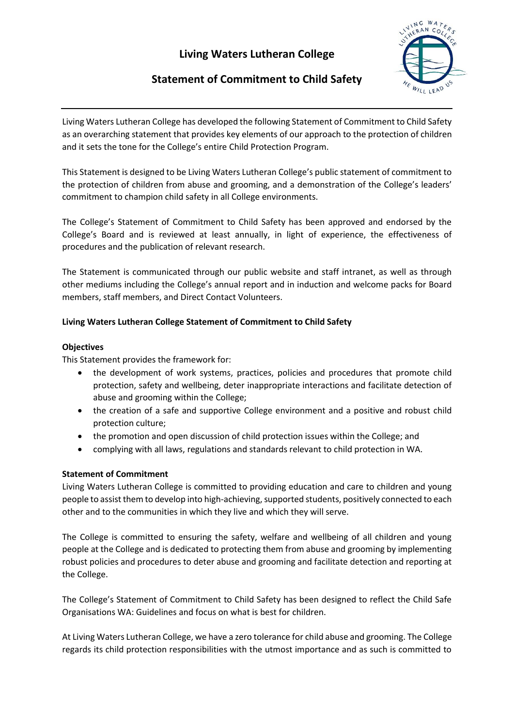# **Living Waters Lutheran College**



## **Statement of Commitment to Child Safety**

Living Waters Lutheran College has developed the following Statement of Commitment to Child Safety as an overarching statement that provides key elements of our approach to the protection of children and it sets the tone for the College's entire Child Protection Program.

This Statement is designed to be Living Waters Lutheran College's public statement of commitment to the protection of children from abuse and grooming, and a demonstration of the College's leaders' commitment to champion child safety in all College environments.

The College's Statement of Commitment to Child Safety has been approved and endorsed by the College's Board and is reviewed at least annually, in light of experience, the effectiveness of procedures and the publication of relevant research.

The Statement is communicated through our public website and staff intranet, as well as through other mediums including the College's annual report and in induction and welcome packs for Board members, staff members, and Direct Contact Volunteers.

### **Living Waters Lutheran College Statement of Commitment to Child Safety**

#### **Objectives**

This Statement provides the framework for:

- the development of work systems, practices, policies and procedures that promote child protection, safety and wellbeing, deter inappropriate interactions and facilitate detection of abuse and grooming within the College;
- the creation of a safe and supportive College environment and a positive and robust child protection culture;
- the promotion and open discussion of child protection issues within the College; and
- complying with all laws, regulations and standards relevant to child protection in WA.

#### **Statement of Commitment**

Living Waters Lutheran College is committed to providing education and care to children and young people to assist them to develop into high-achieving, supported students, positively connected to each other and to the communities in which they live and which they will serve.

The College is committed to ensuring the safety, welfare and wellbeing of all children and young people at the College and is dedicated to protecting them from abuse and grooming by implementing robust policies and procedures to deter abuse and grooming and facilitate detection and reporting at the College.

The College's Statement of Commitment to Child Safety has been designed to reflect the Child Safe Organisations WA: Guidelines and focus on what is best for children.

At Living Waters Lutheran College, we have a zero tolerance for child abuse and grooming. The College regards its child protection responsibilities with the utmost importance and as such is committed to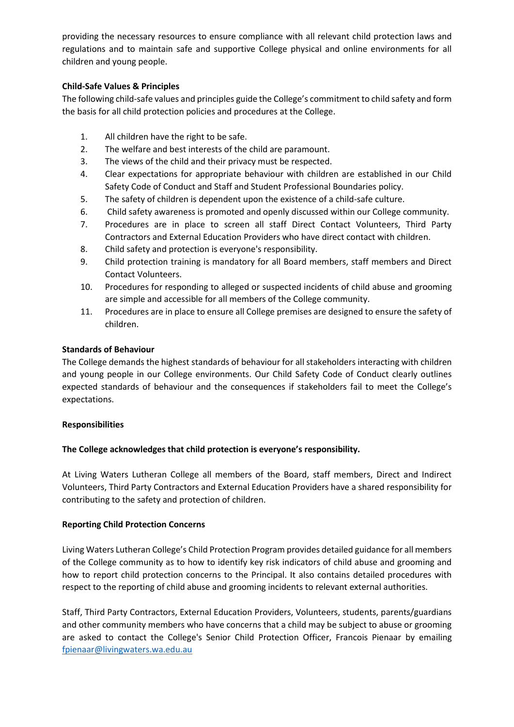providing the necessary resources to ensure compliance with all relevant child protection laws and regulations and to maintain safe and supportive College physical and online environments for all children and young people.

#### **Child-Safe Values & Principles**

The following child-safe values and principles guide the College's commitment to child safety and form the basis for all child protection policies and procedures at the College.

- 1. All children have the right to be safe.
- 2. The welfare and best interests of the child are paramount.
- 3. The views of the child and their privacy must be respected.
- 4. Clear expectations for appropriate behaviour with children are established in our Child Safety Code of Conduct and Staff and Student Professional Boundaries policy.
- 5. The safety of children is dependent upon the existence of a child-safe culture.
- 6. Child safety awareness is promoted and openly discussed within our College community.
- 7. Procedures are in place to screen all staff Direct Contact Volunteers, Third Party Contractors and External Education Providers who have direct contact with children.
- 8. Child safety and protection is everyone's responsibility.
- 9. Child protection training is mandatory for all Board members, staff members and Direct Contact Volunteers.
- 10. Procedures for responding to alleged or suspected incidents of child abuse and grooming are simple and accessible for all members of the College community.
- 11. Procedures are in place to ensure all College premises are designed to ensure the safety of children.

#### **Standards of Behaviour**

The College demands the highest standards of behaviour for all stakeholders interacting with children and young people in our College environments. Our Child Safety Code of Conduct clearly outlines expected standards of behaviour and the consequences if stakeholders fail to meet the College's expectations.

#### **Responsibilities**

#### **The College acknowledges that child protection is everyone's responsibility.**

At Living Waters Lutheran College all members of the Board, staff members, Direct and Indirect Volunteers, Third Party Contractors and External Education Providers have a shared responsibility for contributing to the safety and protection of children.

#### **Reporting Child Protection Concerns**

Living Waters Lutheran College's Child Protection Program provides detailed guidance for all members of the College community as to how to identify key risk indicators of child abuse and grooming and how to report child protection concerns to the Principal. It also contains detailed procedures with respect to the reporting of child abuse and grooming incidents to relevant external authorities.

Staff, Third Party Contractors, External Education Providers, Volunteers, students, parents/guardians and other community members who have concerns that a child may be subject to abuse or grooming are asked to contact the College's Senior Child Protection Officer, Francois Pienaar by emailing [fpienaar@livingwaters.wa.edu.au](mailto:fpienaar@livingwaters.wa.edu.au)